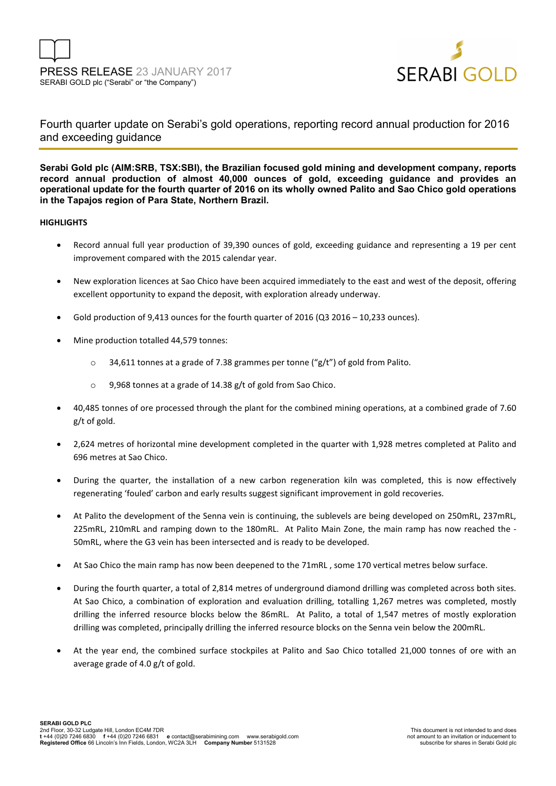



## Fourth quarter update on Serabi's gold operations, reporting record annual production for 2016 and exceeding guidance

**Serabi Gold plc (AIM:SRB, TSX:SBI), the Brazilian focused gold mining and development company, reports record annual production of almost 40,000 ounces of gold, exceeding guidance and provides an operational update for the fourth quarter of 2016 on its wholly owned Palito and Sao Chico gold operations in the Tapajos region of Para State, Northern Brazil.** 

### **HIGHLIGHTS**

- Record annual full year production of 39,390 ounces of gold, exceeding guidance and representing a 19 per cent improvement compared with the 2015 calendar year.
- New exploration licences at Sao Chico have been acquired immediately to the east and west of the deposit, offering excellent opportunity to expand the deposit, with exploration already underway.
- Gold production of 9,413 ounces for the fourth quarter of  $2016$  (Q3  $2016 10,233$  ounces).
- Mine production totalled 44,579 tonnes:
	- o 34,611 tonnes at a grade of 7.38 grammes per tonne ("g/t") of gold from Palito.
	- o 9,968 tonnes at a grade of 14.38 g/t of gold from Sao Chico.
- 40,485 tonnes of ore processed through the plant for the combined mining operations, at a combined grade of 7.60 g/t of gold.
- 2,624 metres of horizontal mine development completed in the quarter with 1,928 metres completed at Palito and 696 metres at Sao Chico.
- During the quarter, the installation of a new carbon regeneration kiln was completed, this is now effectively regenerating 'fouled' carbon and early results suggest significant improvement in gold recoveries.
- At Palito the development of the Senna vein is continuing, the sublevels are being developed on 250mRL, 237mRL, 225mRL, 210mRL and ramping down to the 180mRL. At Palito Main Zone, the main ramp has now reached the - 50mRL, where the G3 vein has been intersected and is ready to be developed.
- At Sao Chico the main ramp has now been deepened to the 71mRL , some 170 vertical metres below surface.
- During the fourth quarter, a total of 2,814 metres of underground diamond drilling was completed across both sites. At Sao Chico, a combination of exploration and evaluation drilling, totalling 1,267 metres was completed, mostly drilling the inferred resource blocks below the 86mRL. At Palito, a total of 1,547 metres of mostly exploration drilling was completed, principally drilling the inferred resource blocks on the Senna vein below the 200mRL.
- At the year end, the combined surface stockpiles at Palito and Sao Chico totalled 21,000 tonnes of ore with an average grade of 4.0 g/t of gold.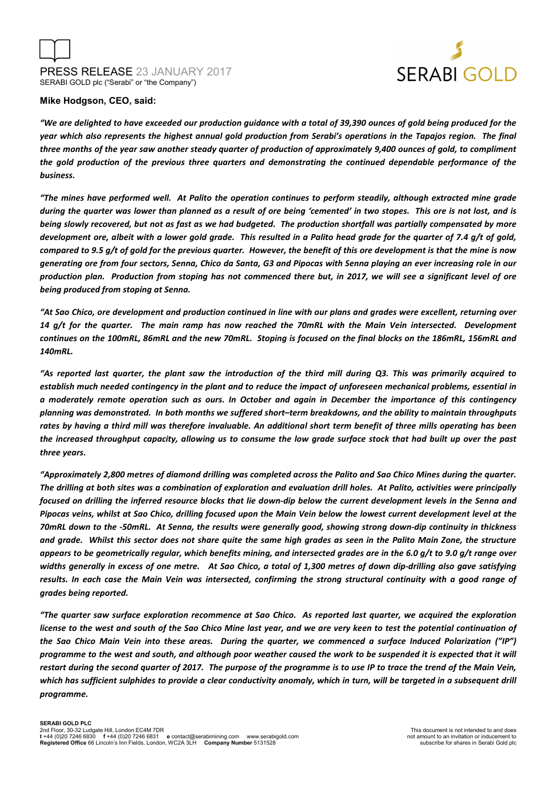PRESS RELEASE 23 JANUARY 2017 SERABI GOLD plc ("Serabi" or "the Company")



## **Mike Hodgson, CEO, said:**

*"We are delighted to have exceeded our production guidance with a total of 39,390 ounces of gold being produced for the year which also represents the highest annual gold production from Serabi's operations in the Tapajos region. The final three months of the year saw another steady quarter of production of approximately 9,400 ounces of gold, to compliment the gold production of the previous three quarters and demonstrating the continued dependable performance of the business.* 

*"The mines have performed well. At Palito the operation continues to perform steadily, although extracted mine grade during the quarter was lower than planned as a result of ore being 'cemented' in two stopes. This ore is not lost, and is being slowly recovered, but not as fast as we had budgeted. The production shortfall was partially compensated by more development ore, albeit with a lower gold grade. This resulted in a Palito head grade for the quarter of 7.4 g/t of gold, compared to 9.5 g/t of gold for the previous quarter. However, the benefit of this ore development is that the mine is now generating ore from four sectors, Senna, Chico da Santa, G3 and Pipocas with Senna playing an ever increasing role in our production plan. Production from stoping has not commenced there but, in 2017, we will see a significant level of ore being produced from stoping at Senna.* 

*"At Sao Chico, ore development and production continued in line with our plans and grades were excellent, returning over 14 g/t for the quarter. The main ramp has now reached the 70mRL with the Main Vein intersected. Development continues on the 100mRL, 86mRL and the new 70mRL. Stoping is focused on the final blocks on the 186mRL, 156mRL and 140mRL.* 

*"As reported last quarter, the plant saw the introduction of the third mill during Q3. This was primarily acquired to establish much needed contingency in the plant and to reduce the impact of unforeseen mechanical problems, essential in a moderately remote operation such as ours. In October and again in December the importance of this contingency planning was demonstrated. In both months we suffered short–term breakdowns, and the ability to maintain throughputs rates by having a third mill was therefore invaluable. An additional short term benefit of three mills operating has been the increased throughput capacity, allowing us to consume the low grade surface stock that had built up over the past three years.* 

*"Approximately 2,800 metres of diamond drilling was completed across the Palito and Sao Chico Mines during the quarter. The drilling at both sites was a combination of exploration and evaluation drill holes. At Palito, activities were principally focused on drilling the inferred resource blocks that lie down-dip below the current development levels in the Senna and Pipocas veins, whilst at Sao Chico, drilling focused upon the Main Vein below the lowest current development level at the 70mRL down to the -50mRL. At Senna, the results were generally good, showing strong down-dip continuity in thickness and grade. Whilst this sector does not share quite the same high grades as seen in the Palito Main Zone, the structure appears to be geometrically regular, which benefits mining, and intersected grades are in the 6.0 g/t to 9.0 g/t range over widths generally in excess of one metre. At Sao Chico, a total of 1,300 metres of down dip-drilling also gave satisfying*  results. In each case the Main Vein was intersected, confirming the strong structural continuity with a good range of *grades being reported.* 

*"The quarter saw surface exploration recommence at Sao Chico. As reported last quarter, we acquired the exploration license to the west and south of the Sao Chico Mine last year, and we are very keen to test the potential continuation of the Sao Chico Main Vein into these areas. During the quarter, we commenced a surface Induced Polarization ("IP") programme to the west and south, and although poor weather caused the work to be suspended it is expected that it will restart during the second quarter of 2017. The purpose of the programme is to use IP to trace the trend of the Main Vein, which has sufficient sulphides to provide a clear conductivity anomaly, which in turn, will be targeted in a subsequent drill programme.*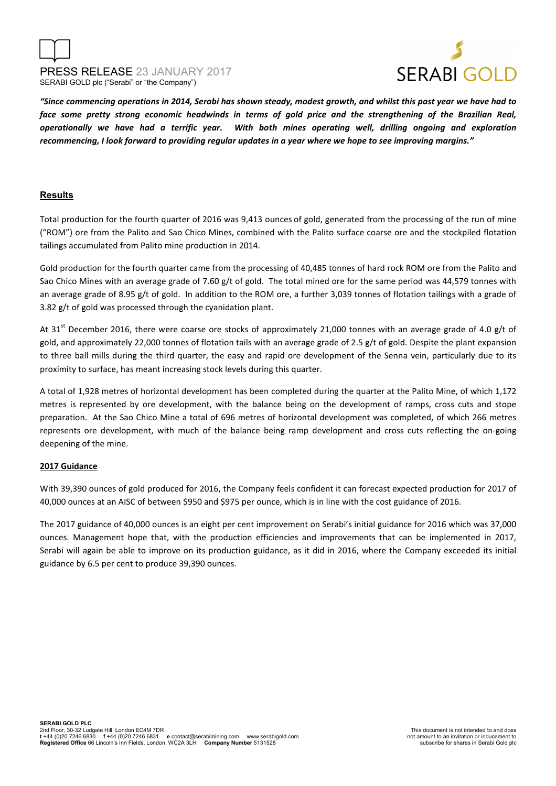PRESS RELEASE 23 JANUARY 2017 SERABI GOLD plc ("Serabi" or "the Company")



*"Since commencing operations in 2014, Serabi has shown steady, modest growth, and whilst this past year we have had to face some pretty strong economic headwinds in terms of gold price and the strengthening of the Brazilian Real, operationally we have had a terrific year. With both mines operating well, drilling ongoing and exploration recommencing, I look forward to providing regular updates in a year where we hope to see improving margins."* 

## **Results**

Total production for the fourth quarter of 2016 was 9,413 ounces of gold, generated from the processing of the run of mine ("ROM") ore from the Palito and Sao Chico Mines, combined with the Palito surface coarse ore and the stockpiled flotation tailings accumulated from Palito mine production in 2014.

Gold production for the fourth quarter came from the processing of 40,485 tonnes of hard rock ROM ore from the Palito and Sao Chico Mines with an average grade of 7.60 g/t of gold. The total mined ore for the same period was 44,579 tonnes with an average grade of 8.95 g/t of gold. In addition to the ROM ore, a further 3,039 tonnes of flotation tailings with a grade of 3.82 g/t of gold was processed through the cyanidation plant.

At 31<sup>st</sup> December 2016, there were coarse ore stocks of approximately 21,000 tonnes with an average grade of 4.0 g/t of gold, and approximately 22,000 tonnes of flotation tails with an average grade of 2.5 g/t of gold. Despite the plant expansion to three ball mills during the third quarter, the easy and rapid ore development of the Senna vein, particularly due to its proximity to surface, has meant increasing stock levels during this quarter.

A total of 1,928 metres of horizontal development has been completed during the quarter at the Palito Mine, of which 1,172 metres is represented by ore development, with the balance being on the development of ramps, cross cuts and stope preparation. At the Sao Chico Mine a total of 696 metres of horizontal development was completed, of which 266 metres represents ore development, with much of the balance being ramp development and cross cuts reflecting the on-going deepening of the mine.

### **2017 Guidance**

With 39,390 ounces of gold produced for 2016, the Company feels confident it can forecast expected production for 2017 of 40,000 ounces at an AISC of between \$950 and \$975 per ounce, which is in line with the cost guidance of 2016.

The 2017 guidance of 40,000 ounces is an eight per cent improvement on Serabi's initial guidance for 2016 which was 37,000 ounces. Management hope that, with the production efficiencies and improvements that can be implemented in 2017, Serabi will again be able to improve on its production guidance, as it did in 2016, where the Company exceeded its initial guidance by 6.5 per cent to produce 39,390 ounces.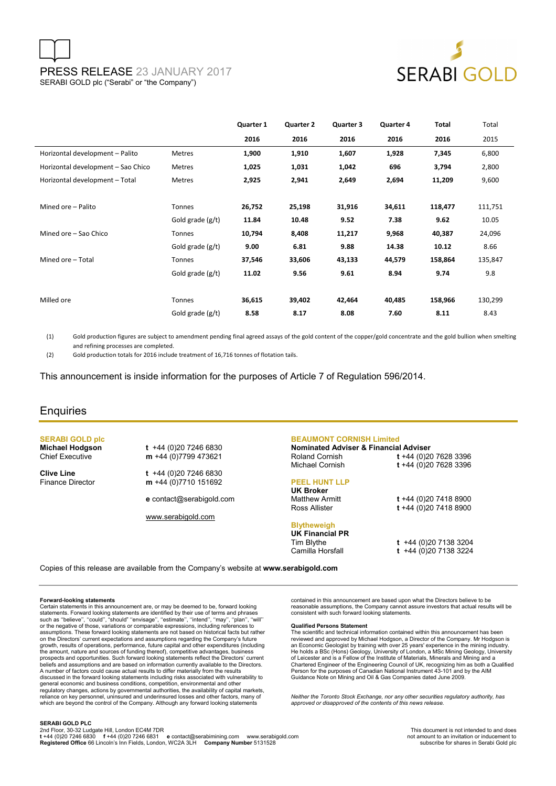# PRESS RELEASE 23 JANUARY 2017 SERABI GOLD plc ("Serabi" or "the Company")



|                                    |                    | Quarter 1 | Quarter 2 | Quarter 3 | Quarter 4 | Total   | Total   |
|------------------------------------|--------------------|-----------|-----------|-----------|-----------|---------|---------|
|                                    |                    | 2016      | 2016      | 2016      | 2016      | 2016    | 2015    |
| Horizontal development - Palito    | Metres             | 1,900     | 1,910     | 1,607     | 1,928     | 7,345   | 6,800   |
| Horizontal development - Sao Chico | Metres             | 1,025     | 1,031     | 1,042     | 696       | 3,794   | 2,800   |
| Horizontal development - Total     | Metres             | 2,925     | 2,941     | 2,649     | 2,694     | 11,209  | 9,600   |
|                                    |                    |           |           |           |           |         |         |
| Mined ore - Palito                 | <b>Tonnes</b>      | 26,752    | 25,198    | 31,916    | 34,611    | 118,477 | 111,751 |
|                                    | Gold grade (g/t)   | 11.84     | 10.48     | 9.52      | 7.38      | 9.62    | 10.05   |
| Mined ore - Sao Chico              | <b>Tonnes</b>      | 10,794    | 8,408     | 11,217    | 9,968     | 40,387  | 24,096  |
|                                    | Gold grade (g/t)   | 9.00      | 6.81      | 9.88      | 14.38     | 10.12   | 8.66    |
| Mined ore - Total                  | <b>Tonnes</b>      | 37,546    | 33,606    | 43,133    | 44,579    | 158,864 | 135,847 |
|                                    | Gold grade $(g/t)$ | 11.02     | 9.56      | 9.61      | 8.94      | 9.74    | 9.8     |
|                                    |                    |           |           |           |           |         |         |
| Milled ore                         | Tonnes             | 36,615    | 39,402    | 42,464    | 40,485    | 158,966 | 130,299 |
|                                    | Gold grade (g/t)   | 8.58      | 8.17      | 8.08      | 7.60      | 8.11    | 8.43    |

(1) Gold production figures are subject to amendment pending final agreed assays of the gold content of the copper/gold concentrate and the gold bullion when smelting and refining processes are completed.

(2) Gold production totals for 2016 include treatment of 16,716 tonnes of flotation tails.

This announcement is inside information for the purposes of Article 7 of Regulation 596/2014.

## **Enquiries**

# **SERABI GOLD plc**

**Michael Hodgson t** +44 (0)20 7246 6830<br>Chief Executive **m** +44 (0)7799 473621 m +44 (0)7799 473621

**Clive Line** t +44 (0)20 7246 6830 **Finance Director m** +44 (0)7710 151692

**e** contact@serabigold.com

www.serabigold.com

#### **BEAUMONT CORNISH Limited**

| <b>Nominated Adviser &amp; Financial Adviser</b> |                       |  |  |  |  |
|--------------------------------------------------|-----------------------|--|--|--|--|
| <b>Roland Cornish</b>                            | t +44 (0)20 7628 3396 |  |  |  |  |
| Michael Cornish                                  | t +44 (0)20 7628 3396 |  |  |  |  |
| <b>BEEL UURELLB</b>                              |                       |  |  |  |  |

#### **PEEL HUNT LLP**

**UK Broker** Matthew Armitt **t** +44 (0)20 7418 8900

#### **Blytheweigh UK Financial PR**

Ross Allister **t** +44 (0)20 7418 8900

Tim Blythe **t** +44 (0)20 7138 3204 Camilla Horsfall **t** +44 (0)20 7138 3224

Copies of this release are available from the Company's website at **www.serabigold.com** 

#### **Forward-looking statements**

Certain statements in this announcement are, or may be deemed to be, forward looking statements. Forward looking statements are identified by their use of terms and phrases<br>such as "believe", "could", "should" "envisage", "estimate", "intend", "may", "plan", "will"<br>or the negative of those, variations or c on the Directors' current expectations and assumptions regarding the Company's future growth, results of operations, performance, future capital and other expenditures (including<br>the amount, nature and sources of funding thereof), competitive advantages, business<br>prospects and opportunities. Such forward lo discussed in the forward looking statements including risks associated with vulnerability to general economic and business conditions, competition, environmental and other regulatory changes, actions by governmental authorities, the availability of capital markets, reliance on key personnel, uninsured and underinsured losses and other factors, many of which are beyond the control of the Company. Although any forward looking statements

#### **SERABI GOLD PLC**

2nd Floor, 30-32 Ludgate Hill, London EC4M 7DR<br>**t +44 (0)20 7246 6830 f +44 (0)20 7246 6831 e** contact@serabimining.com www.serabigold.com not amount to and nivitation or inducement to<br>**Registered Offi** 

contained in this announcement are based upon what the Directors believe to be reasonable assumptions, the Company cannot assure investors that actual results will be consistent with such forward looking statements.

#### **Qualified Persons Statement**

The scientific and technical information contained within this announcement has been reviewed and approved by Michael Hodgson, a Director of the Company. Mr Hodgson is an Economic Geologist by training with over 25 years' experience in the mining industry.<br>He holds a BSc (Hons) Geology, University of London, a MSc Mining Geology, University<br>of Leicester and is a Fellow of the Institute Chartered Engineer of the Engineering Council of UK, recognizing him as both a Qualified Person for the purposes of Canadian National Instrument 43-101 and by the AIM Guidance Note on Mining and Oil & Gas Companies dated June 2009.

*Neither the Toronto Stock Exchange, nor any other securities regulatory authority, has approved or disapproved of the contents of this news release.*